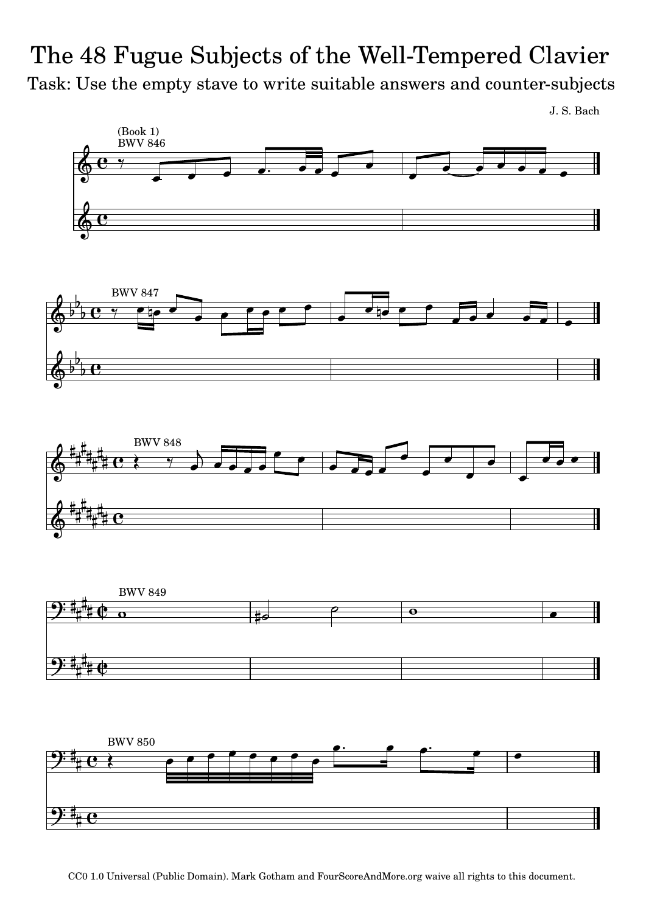## Task: Use the empty stave to write suitable answers and counter-subjects The 48 Fugue Subjects of the Well-Tempered Clavier

J. S. Bach

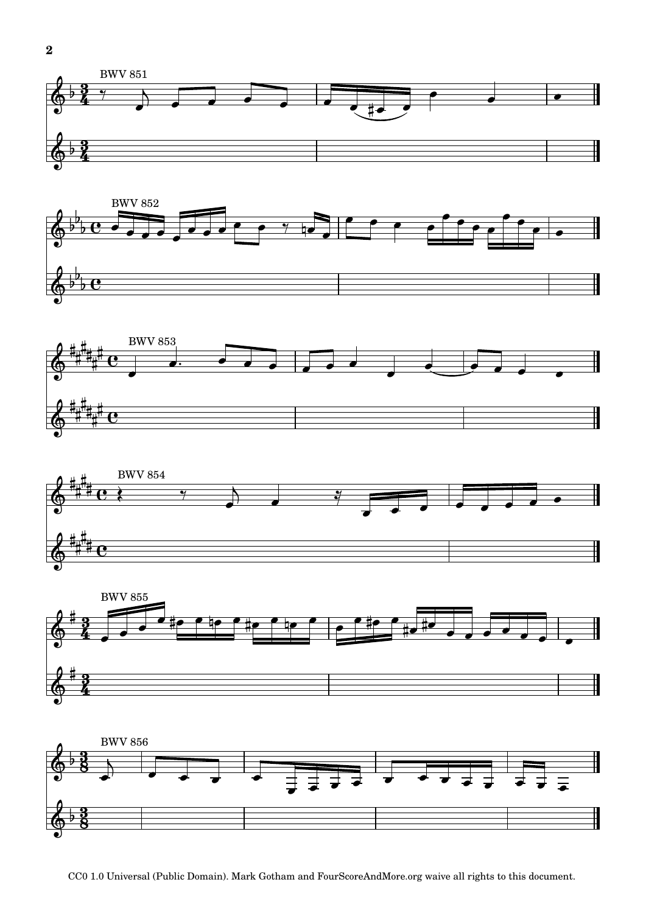











CC0 1.0 Universal (Public Domain). Mark Gotham and FourScoreAndMore.org waive all rights to this document.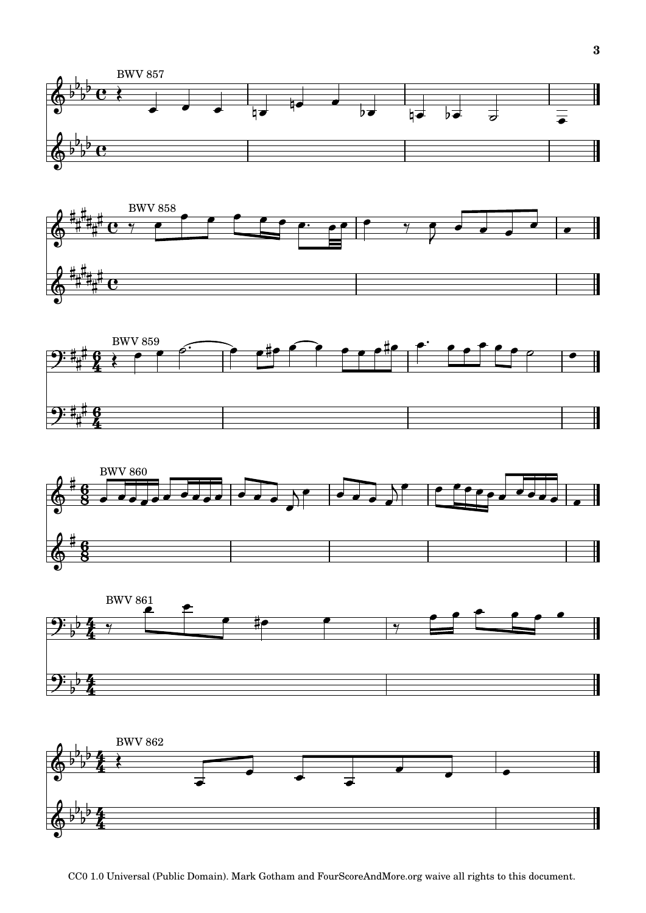











CC0 1.0 Universal (Public Domain). Mark Gotham and FourScoreAndMore.org waive all rights to this document.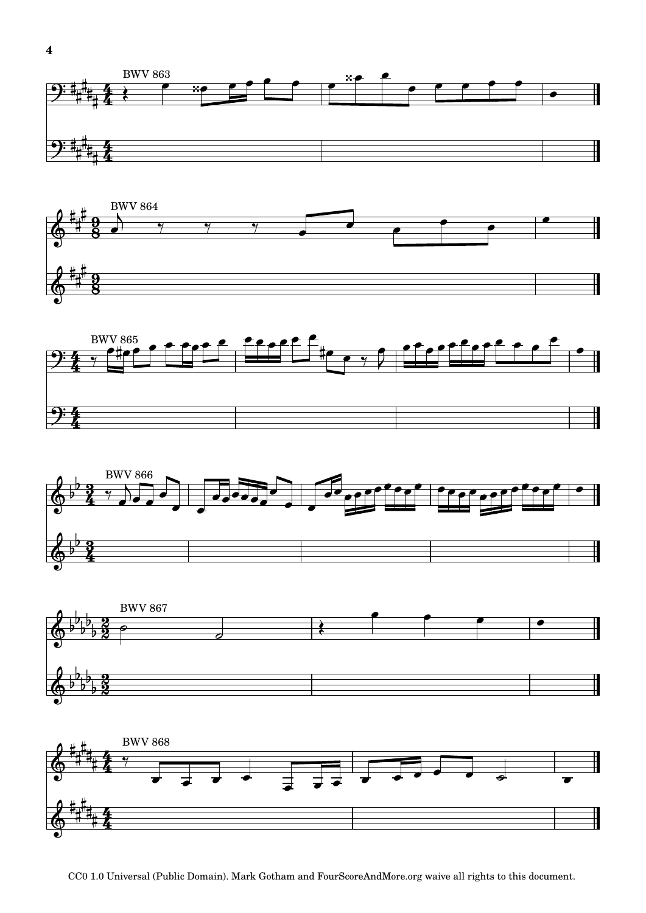









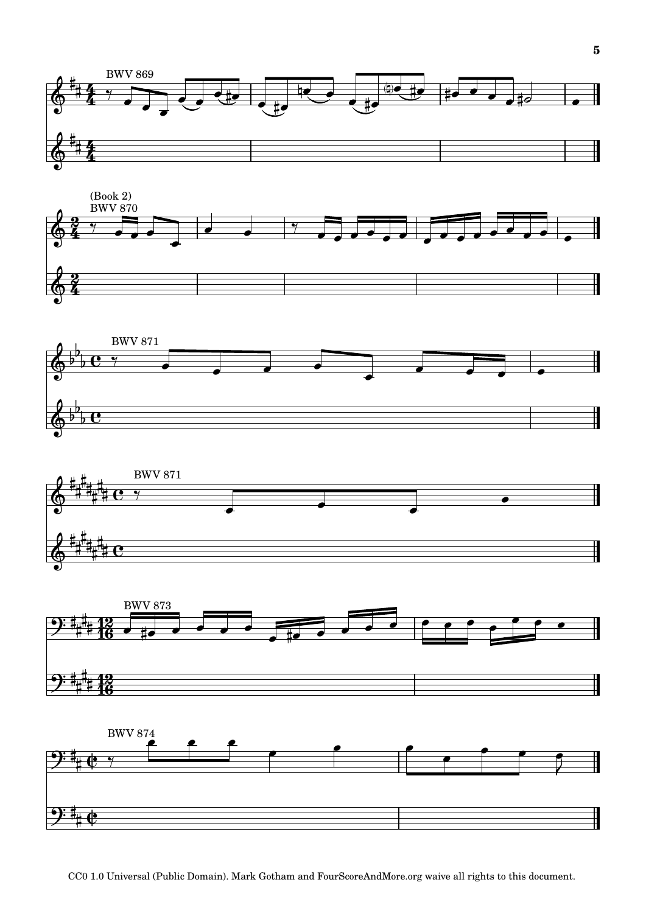









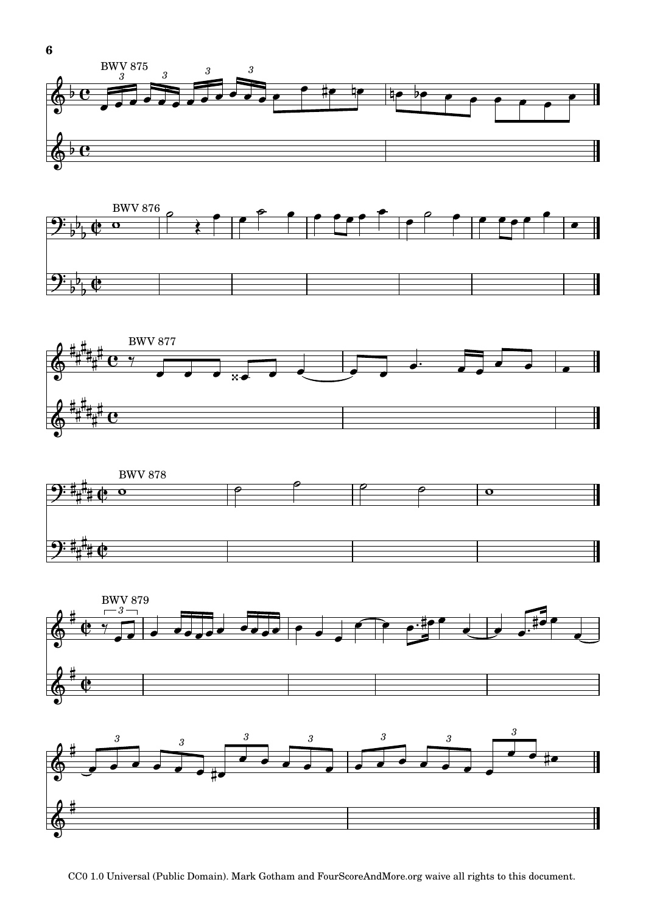









CC0 1.0 Universal (Public Domain). Mark Gotham and FourScoreAndMore.org waive all rights to this document.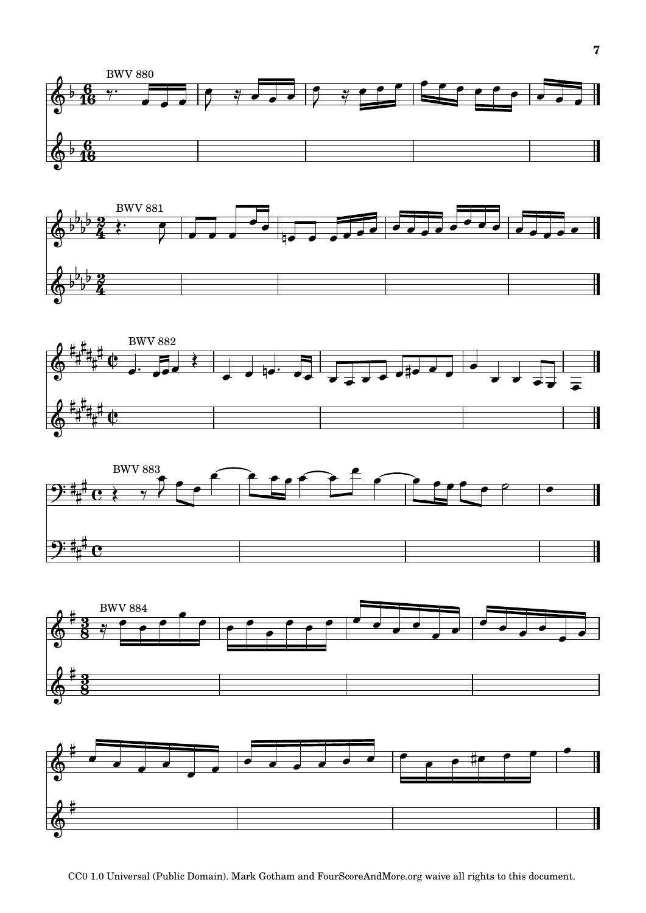











CC0 1.0 Universal (Public Domain). Mark Gotham and FourScoreAndMore.org waive all rights to this document.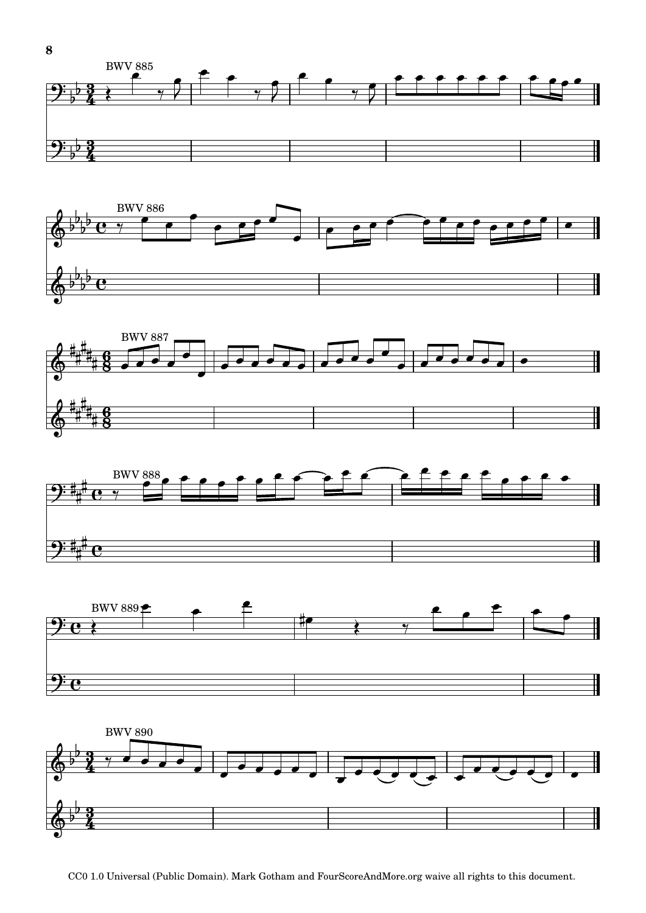